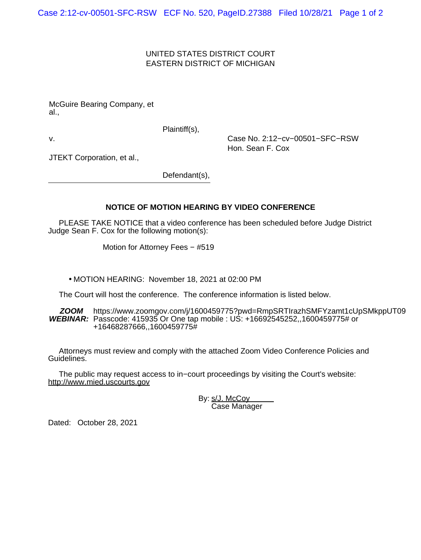# UNITED STATES DISTRICT COURT EASTERN DISTRICT OF MICHIGAN

McGuire Bearing Company, et al.,

Plaintiff(s),

v. Case No. 2:12−cv−00501−SFC−RSW Hon. Sean F. Cox

JTEKT Corporation, et al.,

Defendant(s),

# **NOTICE OF MOTION HEARING BY VIDEO CONFERENCE**

 PLEASE TAKE NOTICE that a video conference has been scheduled before Judge District Judge Sean F. Cox for the following motion(s):

Motion for Attorney Fees − #519

• MOTION HEARING: November 18, 2021 at 02:00 PM

The Court will host the conference. The conference information is listed below.

**ZOOM WEBINAR:** Passcode: 415935 Or One tap mobile : US: +16692545252,,1600459775# or https://www.zoomgov.com/j/1600459775?pwd=RmpSRTIrazhSMFYzamt1cUpSMkppUT09 +16468287666,,1600459775#

 Attorneys must review and comply with the attached Zoom Video Conference Policies and Guidelines.

 The public may request access to in−court proceedings by visiting the Court's website: http://www.mied.uscourts.gov

> By: s/J. McCoy Case Manager

Dated: October 28, 2021